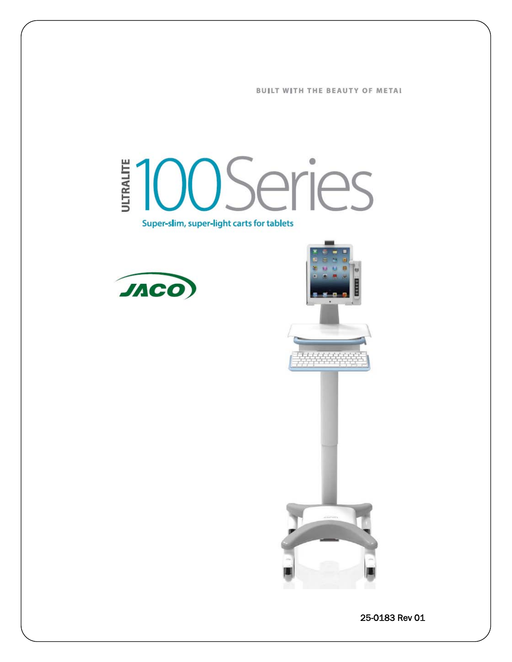**BUILT WITH THE BEAUTY OF METAL** 

# **100Series** ULTRALITE Super-slim, super-light carts for tablets





25-0183 Rev 01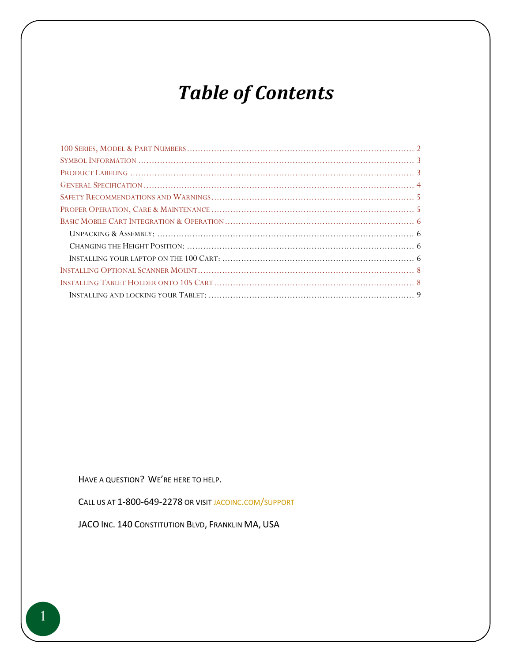# *Table of Contents*

HAVE A QUESTION? WE'RE HERE TO HELP.

CALL US AT 1-800-649-2278 OR VISI[T JACOINC.COM/SUPPORT](http://www.jacoinc.com/support)

JACO INC. 140 CONSTITUTION BLVD, FRANKLIN MA, USA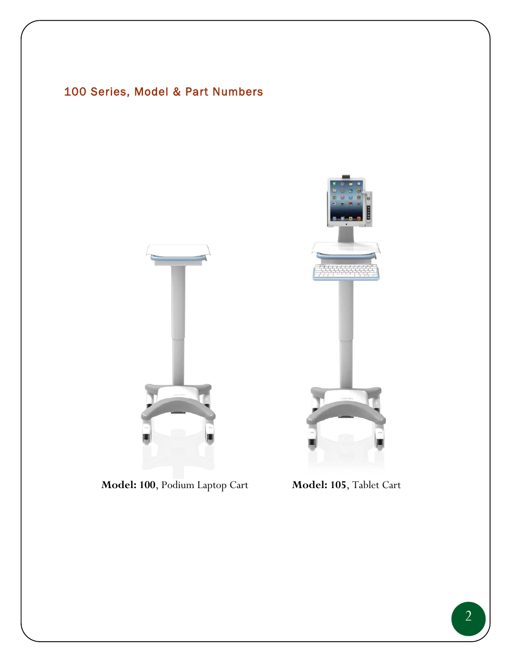# <span id="page-2-0"></span>100 Series, Model & Part Numbers



**Model: 100**, Podium Laptop Cart **Model: 105**, Tablet Cart

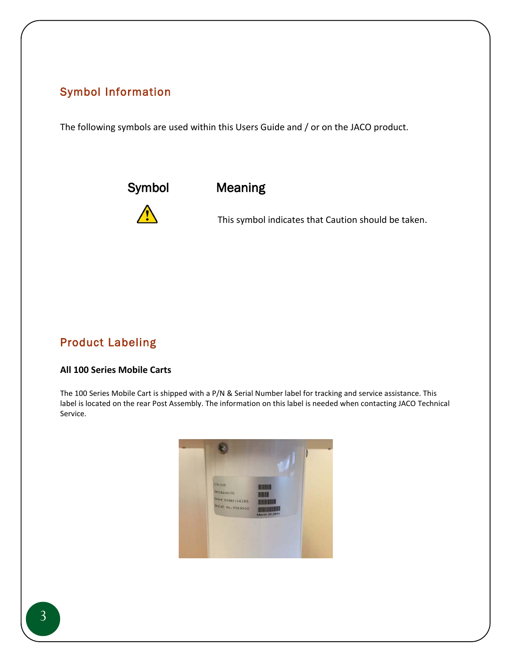## <span id="page-3-0"></span>Symbol Information

The following symbols are used within this Users Guide and / or on the JACO product.



Symbol Meaning

This symbol indicates that Caution should be taken.

# <span id="page-3-1"></span>Product Labeling

### **All 100 Series Mobile Carts**

The 100 Series Mobile Cart is shipped with a P/N & Serial Number label for tracking and service assistance. This label is located on the rear Post Assembly. The information on this label is needed when contacting JACO Technical Service.

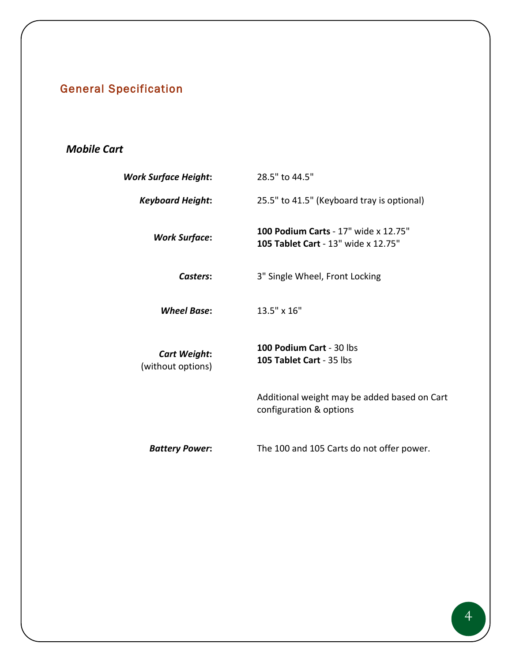# <span id="page-4-0"></span>General Specification

# *Mobile Cart*

| <b>Work Surface Height:</b>              | 28.5" to 44.5"                                                              |
|------------------------------------------|-----------------------------------------------------------------------------|
| <b>Keyboard Height:</b>                  | 25.5" to 41.5" (Keyboard tray is optional)                                  |
| <b>Work Surface:</b>                     | 100 Podium Carts - 17" wide x 12.75"<br>105 Tablet Cart - 13" wide x 12.75" |
| Casters:                                 | 3" Single Wheel, Front Locking                                              |
| <b>Wheel Base:</b>                       | 13.5" x 16"                                                                 |
| <b>Cart Weight:</b><br>(without options) | 100 Podium Cart - 30 lbs<br>105 Tablet Cart - 35 lbs                        |
|                                          | Additional weight may be added based on Cart<br>configuration & options     |
| <b>Battery Power:</b>                    | The 100 and 105 Carts do not offer power.                                   |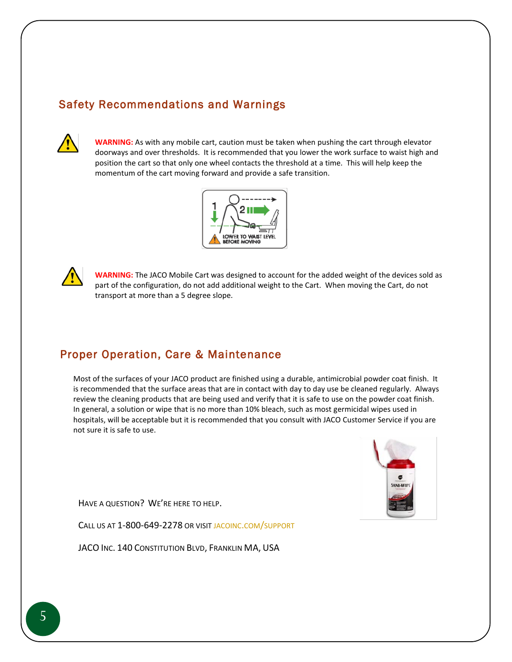# <span id="page-5-0"></span>Safety Recommendations and Warnings



**WARNING:** As with any mobile cart, caution must be taken when pushing the cart through elevator doorways and over thresholds. It is recommended that you lower the work surface to waist high and position the cart so that only one wheel contacts the threshold at a time. This will help keep the momentum of the cart moving forward and provide a safe transition.





**WARNING:** The JACO Mobile Cart was designed to account for the added weight of the devices sold as part of the configuration, do not add additional weight to the Cart. When moving the Cart, do not transport at more than a 5 degree slope.

# <span id="page-5-1"></span>Proper Operation, Care & Maintenance

Most of the surfaces of your JACO product are finished using a durable, antimicrobial powder coat finish. It is recommended that the surface areas that are in contact with day to day use be cleaned regularly. Always review the cleaning products that are being used and verify that it is safe to use on the powder coat finish. In general, a solution or wipe that is no more than 10% bleach, such as most germicidal wipes used in hospitals, will be acceptable but it is recommended that you consult with JACO Customer Service if you are not sure it is safe to use.



HAVE A QUESTION? WE'RE HERE TO HELP.

CALL US AT 1-800-649-2278 OR VISI[T JACOINC.COM/SUPPORT](http://www.jacoinc.com/support)

JACO INC. 140 CONSTITUTION BLVD, FRANKLIN MA, USA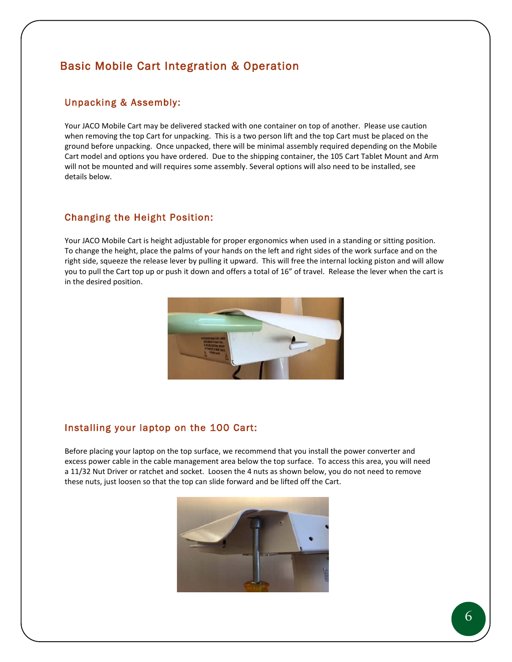# <span id="page-6-0"></span>Basic Mobile Cart Integration & Operation

### <span id="page-6-1"></span>Unpacking & Assembly:

Your JACO Mobile Cart may be delivered stacked with one container on top of another. Please use caution when removing the top Cart for unpacking. This is a two person lift and the top Cart must be placed on the ground before unpacking. Once unpacked, there will be minimal assembly required depending on the Mobile Cart model and options you have ordered. Due to the shipping container, the 105 Cart Tablet Mount and Arm will not be mounted and will requires some assembly. Several options will also need to be installed, see details below.

## <span id="page-6-2"></span>Changing the Height Position:

Your JACO Mobile Cart is height adjustable for proper ergonomics when used in a standing or sitting position. To change the height, place the palms of your hands on the left and right sides of the work surface and on the right side, squeeze the release lever by pulling it upward. This will free the internal locking piston and will allow you to pull the Cart top up or push it down and offers a total of 16" of travel. Release the lever when the cart is in the desired position.



## <span id="page-6-3"></span>Installing your laptop on the 100 Cart:

Before placing your laptop on the top surface, we recommend that you install the power converter and excess power cable in the cable management area below the top surface. To access this area, you will need a 11/32 Nut Driver or ratchet and socket. Loosen the 4 nuts as shown below, you do not need to remove these nuts, just loosen so that the top can slide forward and be lifted off the Cart.

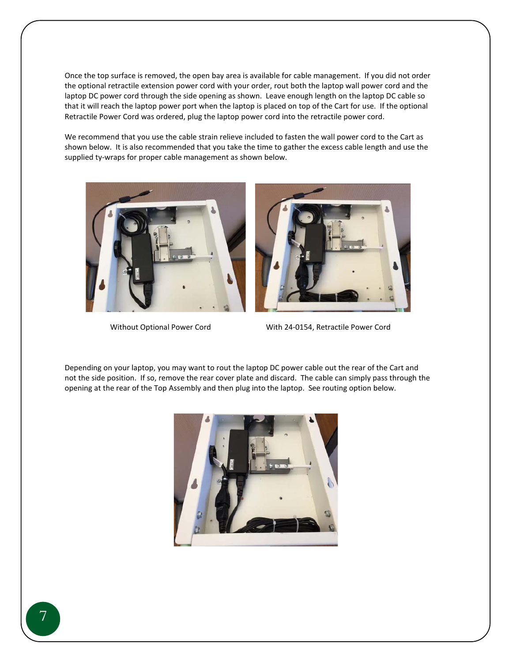Once the top surface is removed, the open bay area is available for cable management. If you did not order the optional retractile extension power cord with your order, rout both the laptop wall power cord and the laptop DC power cord through the side opening as shown. Leave enough length on the laptop DC cable so that it will reach the laptop power port when the laptop is placed on top of the Cart for use. If the optional Retractile Power Cord was ordered, plug the laptop power cord into the retractile power cord.

We recommend that you use the cable strain relieve included to fasten the wall power cord to the Cart as shown below. It is also recommended that you take the time to gather the excess cable length and use the supplied ty-wraps for proper cable management as shown below.



Without Optional Power Cord With 24-0154, Retractile Power Cord

Depending on your laptop, you may want to rout the laptop DC power cable out the rear of the Cart and not the side position. If so, remove the rear cover plate and discard. The cable can simply pass through the opening at the rear of the Top Assembly and then plug into the laptop. See routing option below.

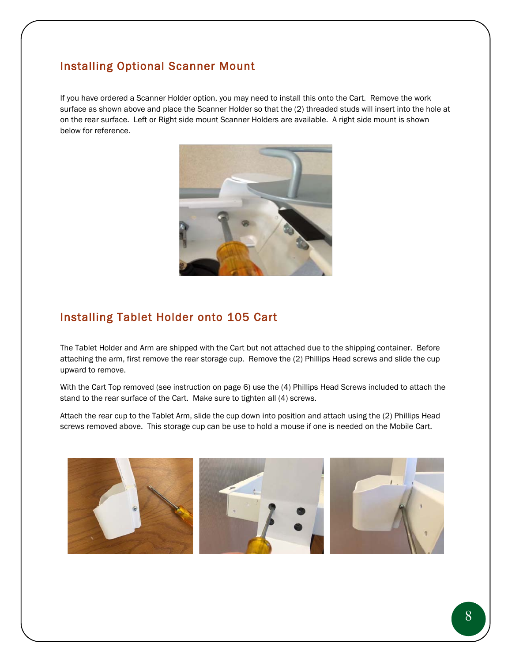# <span id="page-8-0"></span>Installing Optional Scanner Mount

If you have ordered a Scanner Holder option, you may need to install this onto the Cart. Remove the work surface as shown above and place the Scanner Holder so that the (2) threaded studs will insert into the hole at on the rear surface. Left or Right side mount Scanner Holders are available. A right side mount is shown below for reference.



## <span id="page-8-1"></span>Installing Tablet Holder onto 105 Cart

The Tablet Holder and Arm are shipped with the Cart but not attached due to the shipping container. Before attaching the arm, first remove the rear storage cup. Remove the (2) Phillips Head screws and slide the cup upward to remove.

With the Cart Top removed (see instruction on page 6) use the (4) Phillips Head Screws included to attach the stand to the rear surface of the Cart. Make sure to tighten all (4) screws.

Attach the rear cup to the Tablet Arm, slide the cup down into position and attach using the (2) Phillips Head screws removed above. This storage cup can be use to hold a mouse if one is needed on the Mobile Cart.

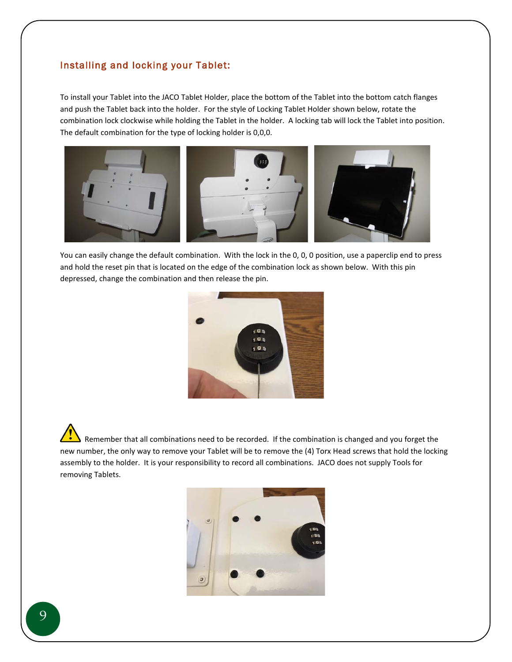#### <span id="page-9-0"></span>Installing and locking your Tablet:

To install your Tablet into the JACO Tablet Holder, place the bottom of the Tablet into the bottom catch flanges and push the Tablet back into the holder. For the style of Locking Tablet Holder shown below, rotate the combination lock clockwise while holding the Tablet in the holder. A locking tab will lock the Tablet into position. The default combination for the type of locking holder is 0,0,0.



You can easily change the default combination. With the lock in the 0, 0, 0 position, use a paperclip end to press and hold the reset pin that is located on the edge of the combination lock as shown below. With this pin depressed, change the combination and then release the pin.



Remember that all combinations need to be recorded. If the combination is changed and you forget the new number, the only way to remove your Tablet will be to remove the (4) Torx Head screws that hold the locking assembly to the holder. It is your responsibility to record all combinations. JACO does not supply Tools for removing Tablets.

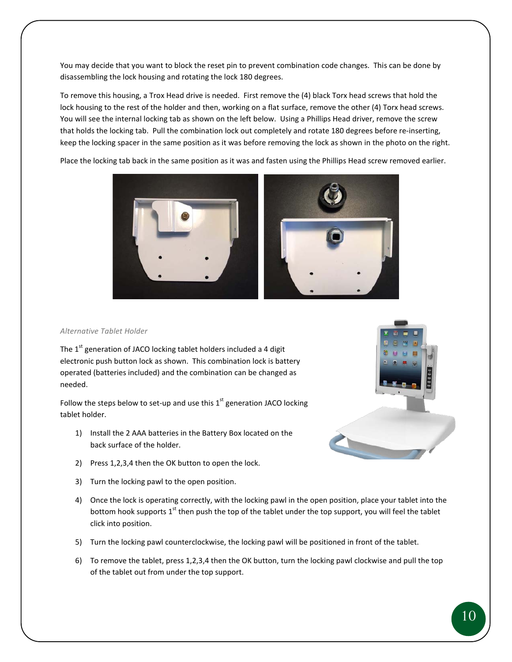You may decide that you want to block the reset pin to prevent combination code changes. This can be done by disassembling the lock housing and rotating the lock 180 degrees.

To remove this housing, a Trox Head drive is needed. First remove the (4) black Torx head screws that hold the lock housing to the rest of the holder and then, working on a flat surface, remove the other (4) Torx head screws. You will see the internal locking tab as shown on the left below. Using a Phillips Head driver, remove the screw that holds the locking tab. Pull the combination lock out completely and rotate 180 degrees before re-inserting, keep the locking spacer in the same position as it was before removing the lock as shown in the photo on the right.

Place the locking tab back in the same position as it was and fasten using the Phillips Head screw removed earlier.



#### *Alternative Tablet Holder*

The  $1<sup>st</sup>$  generation of JACO locking tablet holders included a 4 digit electronic push button lock as shown. This combination lock is battery operated (batteries included) and the combination can be changed as needed.

Follow the steps below to set-up and use this  $1<sup>st</sup>$  generation JACO locking tablet holder.

- 1) Install the 2 AAA batteries in the Battery Box located on the back surface of the holder.
- 2) Press 1,2,3,4 then the OK button to open the lock.
- 3) Turn the locking pawl to the open position.
- 4) Once the lock is operating correctly, with the locking pawl in the open position, place your tablet into the bottom hook supports 1<sup>st</sup> then push the top of the tablet under the top support, you will feel the tablet click into position.
- 5) Turn the locking pawl counterclockwise, the locking pawl will be positioned in front of the tablet.
- 6) To remove the tablet, press 1,2,3,4 then the OK button, turn the locking pawl clockwise and pull the top of the tablet out from under the top support.